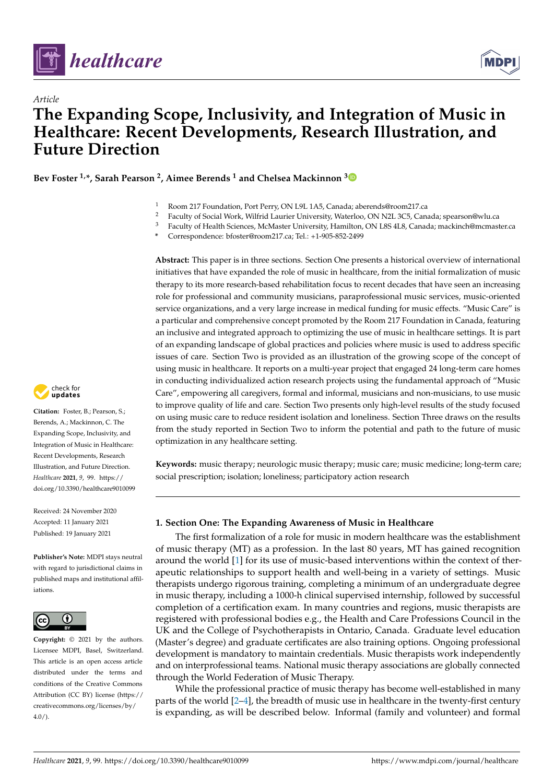

*Article*



# **The Expanding Scope, Inclusivity, and Integration of Music in Healthcare: Recent Developments, Research Illustration, and Future Direction**

**Bev Foster 1,\*, Sarah Pearson <sup>2</sup> , Aimee Berends <sup>1</sup> and Chelsea Mackinnon [3](https://orcid.org/0000-0002-0279-5439)**

- 1 Room 217 Foundation, Port Perry, ON L9L 1A5, Canada; aberends@room217.ca<br>2 Easy ky of Social Work, Wilfrid J awier University, Waterlee, ON N9L 2C5, Can
- <sup>2</sup> Faculty of Social Work, Wilfrid Laurier University, Waterloo, ON N2L 3C5, Canada; spearson@wlu.ca<br><sup>3</sup> Faculty of Health Sciences, McMaster University, Hamilton, ON U.S. 41.8, Canada; magkingh@manacd
- <sup>3</sup> Faculty of Health Sciences, McMaster University, Hamilton, ON L8S 4L8, Canada; mackinch@mcmaster.ca

**\*** Correspondence: bfoster@room217.ca; Tel.: +1-905-852-2499

**Abstract:** This paper is in three sections. Section One presents a historical overview of international initiatives that have expanded the role of music in healthcare, from the initial formalization of music therapy to its more research-based rehabilitation focus to recent decades that have seen an increasing role for professional and community musicians, paraprofessional music services, music-oriented service organizations, and a very large increase in medical funding for music effects. "Music Care" is a particular and comprehensive concept promoted by the Room 217 Foundation in Canada, featuring an inclusive and integrated approach to optimizing the use of music in healthcare settings. It is part of an expanding landscape of global practices and policies where music is used to address specific issues of care. Section Two is provided as an illustration of the growing scope of the concept of using music in healthcare. It reports on a multi-year project that engaged 24 long-term care homes in conducting individualized action research projects using the fundamental approach of "Music Care", empowering all caregivers, formal and informal, musicians and non-musicians, to use music to improve quality of life and care. Section Two presents only high-level results of the study focused on using music care to reduce resident isolation and loneliness. Section Three draws on the results from the study reported in Section Two to inform the potential and path to the future of music optimization in any healthcare setting.

**Keywords:** music therapy; neurologic music therapy; music care; music medicine; long-term care; social prescription; isolation; loneliness; participatory action research

# **1. Section One: The Expanding Awareness of Music in Healthcare**

The first formalization of a role for music in modern healthcare was the establishment of music therapy (MT) as a profession. In the last 80 years, MT has gained recognition around the world [\[1\]](#page-18-0) for its use of music-based interventions within the context of therapeutic relationships to support health and well-being in a variety of settings. Music therapists undergo rigorous training, completing a minimum of an undergraduate degree in music therapy, including a 1000-h clinical supervised internship, followed by successful completion of a certification exam. In many countries and regions, music therapists are registered with professional bodies e.g., the Health and Care Professions Council in the UK and the College of Psychotherapists in Ontario, Canada. Graduate level education (Master's degree) and graduate certificates are also training options. Ongoing professional development is mandatory to maintain credentials. Music therapists work independently and on interprofessional teams. National music therapy associations are globally connected through the World Federation of Music Therapy.

While the professional practice of music therapy has become well-established in many parts of the world [\[2–](#page-18-1)[4\]](#page-18-2), the breadth of music use in healthcare in the twenty-first century is expanding, as will be described below. Informal (family and volunteer) and formal



**Citation:** Foster, B.; Pearson, S.; Berends, A.; Mackinnon, C. The Expanding Scope, Inclusivity, and Integration of Music in Healthcare: Recent Developments, Research Illustration, and Future Direction. *Healthcare* **2021**, *9*, 99. [https://](https://doi.org/10.3390/healthcare9010099) [doi.org/10.3390/healthcare9010099](https://doi.org/10.3390/healthcare9010099)

Received: 24 November 2020 Accepted: 11 January 2021 Published: 19 January 2021

**Publisher's Note:** MDPI stays neutral with regard to jurisdictional claims in published maps and institutional affiliations.



**Copyright:** © 2021 by the authors. Licensee MDPI, Basel, Switzerland. This article is an open access article distributed under the terms and conditions of the Creative Commons Attribution (CC BY) license (https:/[/](https://creativecommons.org/licenses/by/4.0/) [creativecommons.org/licenses/by/](https://creativecommons.org/licenses/by/4.0/)  $4.0/$ ).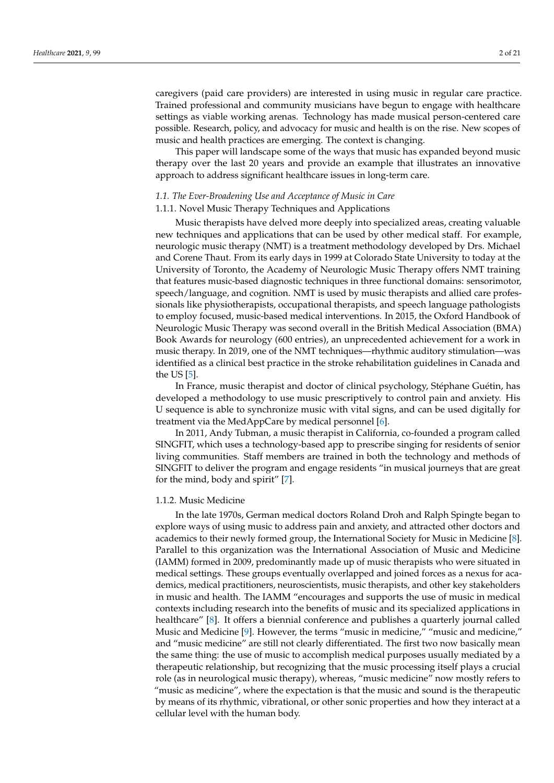caregivers (paid care providers) are interested in using music in regular care practice. Trained professional and community musicians have begun to engage with healthcare settings as viable working arenas. Technology has made musical person-centered care possible. Research, policy, and advocacy for music and health is on the rise. New scopes of music and health practices are emerging. The context is changing.

This paper will landscape some of the ways that music has expanded beyond music therapy over the last 20 years and provide an example that illustrates an innovative approach to address significant healthcare issues in long-term care.

# *1.1. The Ever-Broadening Use and Acceptance of Music in Care*

# 1.1.1. Novel Music Therapy Techniques and Applications

Music therapists have delved more deeply into specialized areas, creating valuable new techniques and applications that can be used by other medical staff. For example, neurologic music therapy (NMT) is a treatment methodology developed by Drs. Michael and Corene Thaut. From its early days in 1999 at Colorado State University to today at the University of Toronto, the Academy of Neurologic Music Therapy offers NMT training that features music-based diagnostic techniques in three functional domains: sensorimotor, speech/language, and cognition. NMT is used by music therapists and allied care professionals like physiotherapists, occupational therapists, and speech language pathologists to employ focused, music-based medical interventions. In 2015, the Oxford Handbook of Neurologic Music Therapy was second overall in the British Medical Association (BMA) Book Awards for neurology (600 entries), an unprecedented achievement for a work in music therapy. In 2019, one of the NMT techniques—rhythmic auditory stimulation—was identified as a clinical best practice in the stroke rehabilitation guidelines in Canada and the US [\[5\]](#page-18-3).

In France, music therapist and doctor of clinical psychology, Stéphane Guétin, has developed a methodology to use music prescriptively to control pain and anxiety. His U sequence is able to synchronize music with vital signs, and can be used digitally for treatment via the MedAppCare by medical personnel [\[6\]](#page-18-4).

In 2011, Andy Tubman, a music therapist in California, co-founded a program called SINGFIT, which uses a technology-based app to prescribe singing for residents of senior living communities. Staff members are trained in both the technology and methods of SINGFIT to deliver the program and engage residents "in musical journeys that are great for the mind, body and spirit" [\[7\]](#page-18-5).

#### 1.1.2. Music Medicine

In the late 1970s, German medical doctors Roland Droh and Ralph Spingte began to explore ways of using music to address pain and anxiety, and attracted other doctors and academics to their newly formed group, the International Society for Music in Medicine [\[8\]](#page-18-6). Parallel to this organization was the International Association of Music and Medicine (IAMM) formed in 2009, predominantly made up of music therapists who were situated in medical settings. These groups eventually overlapped and joined forces as a nexus for academics, medical practitioners, neuroscientists, music therapists, and other key stakeholders in music and health. The IAMM "encourages and supports the use of music in medical contexts including research into the benefits of music and its specialized applications in healthcare" [\[8\]](#page-18-6). It offers a biennial conference and publishes a quarterly journal called Music and Medicine [\[9\]](#page-18-7). However, the terms "music in medicine," "music and medicine," and "music medicine" are still not clearly differentiated. The first two now basically mean the same thing: the use of music to accomplish medical purposes usually mediated by a therapeutic relationship, but recognizing that the music processing itself plays a crucial role (as in neurological music therapy), whereas, "music medicine" now mostly refers to "music as medicine", where the expectation is that the music and sound is the therapeutic by means of its rhythmic, vibrational, or other sonic properties and how they interact at a cellular level with the human body.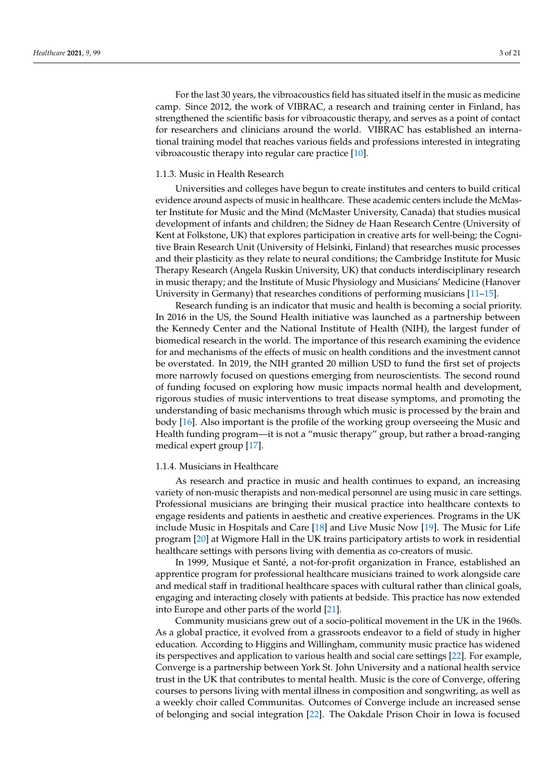For the last 30 years, the vibroacoustics field has situated itself in the music as medicine camp. Since 2012, the work of VIBRAC, a research and training center in Finland, has strengthened the scientific basis for vibroacoustic therapy, and serves as a point of contact for researchers and clinicians around the world. VIBRAC has established an international training model that reaches various fields and professions interested in integrating vibroacoustic therapy into regular care practice [\[10\]](#page-18-8).

#### 1.1.3. Music in Health Research

Universities and colleges have begun to create institutes and centers to build critical evidence around aspects of music in healthcare. These academic centers include the McMaster Institute for Music and the Mind (McMaster University, Canada) that studies musical development of infants and children; the Sidney de Haan Research Centre (University of Kent at Folkstone, UK) that explores participation in creative arts for well-being; the Cognitive Brain Research Unit (University of Helsinki, Finland) that researches music processes and their plasticity as they relate to neural conditions; the Cambridge Institute for Music Therapy Research (Angela Ruskin University, UK) that conducts interdisciplinary research in music therapy; and the Institute of Music Physiology and Musicians' Medicine (Hanover University in Germany) that researches conditions of performing musicians [\[11–](#page-18-9)[15\]](#page-19-0).

Research funding is an indicator that music and health is becoming a social priority. In 2016 in the US, the Sound Health initiative was launched as a partnership between the Kennedy Center and the National Institute of Health (NIH), the largest funder of biomedical research in the world. The importance of this research examining the evidence for and mechanisms of the effects of music on health conditions and the investment cannot be overstated. In 2019, the NIH granted 20 million USD to fund the first set of projects more narrowly focused on questions emerging from neuroscientists. The second round of funding focused on exploring how music impacts normal health and development, rigorous studies of music interventions to treat disease symptoms, and promoting the understanding of basic mechanisms through which music is processed by the brain and body [\[16\]](#page-19-1). Also important is the profile of the working group overseeing the Music and Health funding program—it is not a "music therapy" group, but rather a broad-ranging medical expert group [\[17\]](#page-19-2).

#### 1.1.4. Musicians in Healthcare

As research and practice in music and health continues to expand, an increasing variety of non-music therapists and non-medical personnel are using music in care settings. Professional musicians are bringing their musical practice into healthcare contexts to engage residents and patients in aesthetic and creative experiences. Programs in the UK include Music in Hospitals and Care [\[18\]](#page-19-3) and Live Music Now [\[19\]](#page-19-4). The Music for Life program [\[20\]](#page-19-5) at Wigmore Hall in the UK trains participatory artists to work in residential healthcare settings with persons living with dementia as co-creators of music.

In 1999, Musique et Santé, a not-for-profit organization in France, established an apprentice program for professional healthcare musicians trained to work alongside care and medical staff in traditional healthcare spaces with cultural rather than clinical goals, engaging and interacting closely with patients at bedside. This practice has now extended into Europe and other parts of the world [\[21\]](#page-19-6).

Community musicians grew out of a socio-political movement in the UK in the 1960s. As a global practice, it evolved from a grassroots endeavor to a field of study in higher education. According to Higgins and Willingham, community music practice has widened its perspectives and application to various health and social care settings [\[22\]](#page-19-7). For example, Converge is a partnership between York St. John University and a national health service trust in the UK that contributes to mental health. Music is the core of Converge, offering courses to persons living with mental illness in composition and songwriting, as well as a weekly choir called Communitas. Outcomes of Converge include an increased sense of belonging and social integration [\[22\]](#page-19-7). The Oakdale Prison Choir in Iowa is focused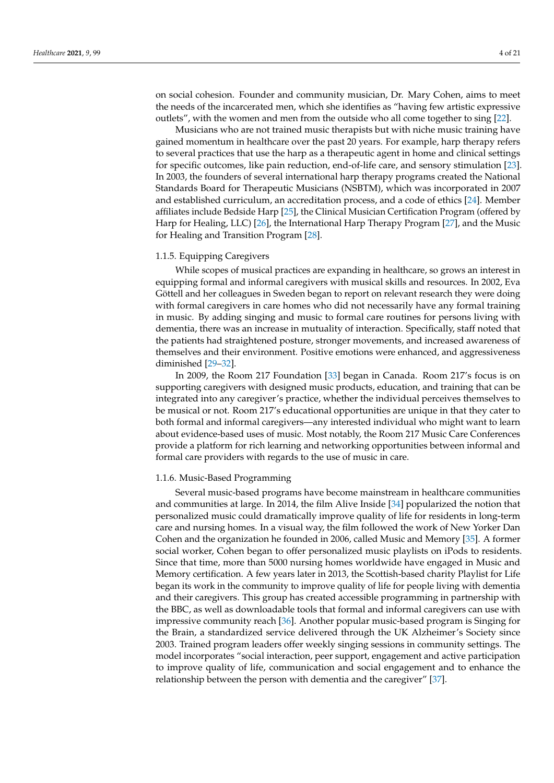on social cohesion. Founder and community musician, Dr. Mary Cohen, aims to meet the needs of the incarcerated men, which she identifies as "having few artistic expressive

outlets", with the women and men from the outside who all come together to sing [\[22\]](#page-19-7). Musicians who are not trained music therapists but with niche music training have gained momentum in healthcare over the past 20 years. For example, harp therapy refers to several practices that use the harp as a therapeutic agent in home and clinical settings for specific outcomes, like pain reduction, end-of-life care, and sensory stimulation [\[23\]](#page-19-8). In 2003, the founders of several international harp therapy programs created the National Standards Board for Therapeutic Musicians (NSBTM), which was incorporated in 2007 and established curriculum, an accreditation process, and a code of ethics [\[24\]](#page-19-9). Member affiliates include Bedside Harp [\[25\]](#page-19-10), the Clinical Musician Certification Program (offered by Harp for Healing, LLC) [\[26\]](#page-19-11), the International Harp Therapy Program [\[27\]](#page-19-12), and the Music for Healing and Transition Program [\[28\]](#page-19-13).

#### 1.1.5. Equipping Caregivers

While scopes of musical practices are expanding in healthcare, so grows an interest in equipping formal and informal caregivers with musical skills and resources. In 2002, Eva Göttell and her colleagues in Sweden began to report on relevant research they were doing with formal caregivers in care homes who did not necessarily have any formal training in music. By adding singing and music to formal care routines for persons living with dementia, there was an increase in mutuality of interaction. Specifically, staff noted that the patients had straightened posture, stronger movements, and increased awareness of themselves and their environment. Positive emotions were enhanced, and aggressiveness diminished [\[29](#page-19-14)[–32\]](#page-19-15).

In 2009, the Room 217 Foundation [\[33\]](#page-19-16) began in Canada. Room 217's focus is on supporting caregivers with designed music products, education, and training that can be integrated into any caregiver's practice, whether the individual perceives themselves to be musical or not. Room 217's educational opportunities are unique in that they cater to both formal and informal caregivers—any interested individual who might want to learn about evidence-based uses of music. Most notably, the Room 217 Music Care Conferences provide a platform for rich learning and networking opportunities between informal and formal care providers with regards to the use of music in care.

#### 1.1.6. Music-Based Programming

Several music-based programs have become mainstream in healthcare communities and communities at large. In 2014, the film Alive Inside [\[34\]](#page-19-17) popularized the notion that personalized music could dramatically improve quality of life for residents in long-term care and nursing homes. In a visual way, the film followed the work of New Yorker Dan Cohen and the organization he founded in 2006, called Music and Memory [\[35\]](#page-19-18). A former social worker, Cohen began to offer personalized music playlists on iPods to residents. Since that time, more than 5000 nursing homes worldwide have engaged in Music and Memory certification. A few years later in 2013, the Scottish-based charity Playlist for Life began its work in the community to improve quality of life for people living with dementia and their caregivers. This group has created accessible programming in partnership with the BBC, as well as downloadable tools that formal and informal caregivers can use with impressive community reach [\[36\]](#page-19-19). Another popular music-based program is Singing for the Brain, a standardized service delivered through the UK Alzheimer's Society since 2003. Trained program leaders offer weekly singing sessions in community settings. The model incorporates "social interaction, peer support, engagement and active participation to improve quality of life, communication and social engagement and to enhance the relationship between the person with dementia and the caregiver" [\[37\]](#page-19-20).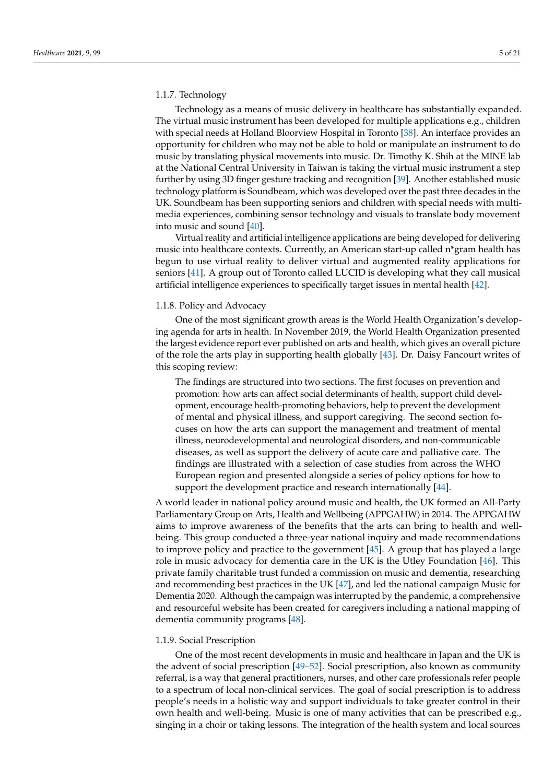#### 1.1.7. Technology

Technology as a means of music delivery in healthcare has substantially expanded. The virtual music instrument has been developed for multiple applications e.g., children with special needs at Holland Bloorview Hospital in Toronto [\[38\]](#page-19-21). An interface provides an opportunity for children who may not be able to hold or manipulate an instrument to do music by translating physical movements into music. Dr. Timothy K. Shih at the MINE lab at the National Central University in Taiwan is taking the virtual music instrument a step further by using 3D finger gesture tracking and recognition [\[39\]](#page-19-22). Another established music technology platform is Soundbeam, which was developed over the past three decades in the UK. Soundbeam has been supporting seniors and children with special needs with multimedia experiences, combining sensor technology and visuals to translate body movement into music and sound [\[40\]](#page-19-23).

Virtual reality and artificial intelligence applications are being developed for delivering music into healthcare contexts. Currently, an American start-up called n\*gram health has begun to use virtual reality to deliver virtual and augmented reality applications for seniors [\[41\]](#page-19-24). A group out of Toronto called LUCID is developing what they call musical artificial intelligence experiences to specifically target issues in mental health [\[42\]](#page-19-25).

#### 1.1.8. Policy and Advocacy

One of the most significant growth areas is the World Health Organization's developing agenda for arts in health. In November 2019, the World Health Organization presented the largest evidence report ever published on arts and health, which gives an overall picture of the role the arts play in supporting health globally [\[43\]](#page-19-26). Dr. Daisy Fancourt writes of this scoping review:

The findings are structured into two sections. The first focuses on prevention and promotion: how arts can affect social determinants of health, support child development, encourage health-promoting behaviors, help to prevent the development of mental and physical illness, and support caregiving. The second section focuses on how the arts can support the management and treatment of mental illness, neurodevelopmental and neurological disorders, and non-communicable diseases, as well as support the delivery of acute care and palliative care. The findings are illustrated with a selection of case studies from across the WHO European region and presented alongside a series of policy options for how to support the development practice and research internationally [\[44\]](#page-19-27).

A world leader in national policy around music and health, the UK formed an All-Party Parliamentary Group on Arts, Health and Wellbeing (APPGAHW) in 2014. The APPGAHW aims to improve awareness of the benefits that the arts can bring to health and wellbeing. This group conducted a three-year national inquiry and made recommendations to improve policy and practice to the government [\[45\]](#page-19-28). A group that has played a large role in music advocacy for dementia care in the UK is the Utley Foundation [\[46\]](#page-19-29). This private family charitable trust funded a commission on music and dementia, researching and recommending best practices in the UK [\[47\]](#page-19-30), and led the national campaign Music for Dementia 2020. Although the campaign was interrupted by the pandemic, a comprehensive and resourceful website has been created for caregivers including a national mapping of dementia community programs [\[48\]](#page-19-31).

#### 1.1.9. Social Prescription

One of the most recent developments in music and healthcare in Japan and the UK is the advent of social prescription [\[49–](#page-19-32)[52\]](#page-20-0). Social prescription, also known as community referral, is a way that general practitioners, nurses, and other care professionals refer people to a spectrum of local non-clinical services. The goal of social prescription is to address people's needs in a holistic way and support individuals to take greater control in their own health and well-being. Music is one of many activities that can be prescribed e.g., singing in a choir or taking lessons. The integration of the health system and local sources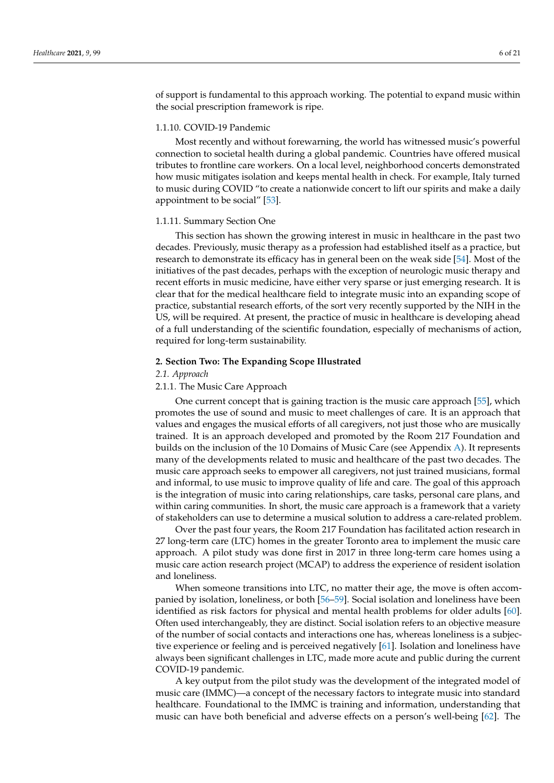of support is fundamental to this approach working. The potential to expand music within the social prescription framework is ripe.

#### 1.1.10. COVID-19 Pandemic

Most recently and without forewarning, the world has witnessed music's powerful connection to societal health during a global pandemic. Countries have offered musical tributes to frontline care workers. On a local level, neighborhood concerts demonstrated how music mitigates isolation and keeps mental health in check. For example, Italy turned to music during COVID "to create a nationwide concert to lift our spirits and make a daily appointment to be social" [\[53\]](#page-20-1).

#### 1.1.11. Summary Section One

This section has shown the growing interest in music in healthcare in the past two decades. Previously, music therapy as a profession had established itself as a practice, but research to demonstrate its efficacy has in general been on the weak side [\[54\]](#page-20-2). Most of the initiatives of the past decades, perhaps with the exception of neurologic music therapy and recent efforts in music medicine, have either very sparse or just emerging research. It is clear that for the medical healthcare field to integrate music into an expanding scope of practice, substantial research efforts, of the sort very recently supported by the NIH in the US, will be required. At present, the practice of music in healthcare is developing ahead of a full understanding of the scientific foundation, especially of mechanisms of action, required for long-term sustainability.

#### **2. Section Two: The Expanding Scope Illustrated**

*2.1. Approach*

# 2.1.1. The Music Care Approach

One current concept that is gaining traction is the music care approach [\[55\]](#page-20-3), which promotes the use of sound and music to meet challenges of care. It is an approach that values and engages the musical efforts of all caregivers, not just those who are musically trained. It is an approach developed and promoted by the Room 217 Foundation and builds on the inclusion of the 10 Domains of Music Care (see Appendix [A\)](#page-14-0). It represents many of the developments related to music and healthcare of the past two decades. The music care approach seeks to empower all caregivers, not just trained musicians, formal and informal, to use music to improve quality of life and care. The goal of this approach is the integration of music into caring relationships, care tasks, personal care plans, and within caring communities. In short, the music care approach is a framework that a variety of stakeholders can use to determine a musical solution to address a care-related problem.

Over the past four years, the Room 217 Foundation has facilitated action research in 27 long-term care (LTC) homes in the greater Toronto area to implement the music care approach. A pilot study was done first in 2017 in three long-term care homes using a music care action research project (MCAP) to address the experience of resident isolation and loneliness.

When someone transitions into LTC, no matter their age, the move is often accompanied by isolation, loneliness, or both [\[56–](#page-20-4)[59\]](#page-20-5). Social isolation and loneliness have been identified as risk factors for physical and mental health problems for older adults [\[60\]](#page-20-6). Often used interchangeably, they are distinct. Social isolation refers to an objective measure of the number of social contacts and interactions one has, whereas loneliness is a subjective experience or feeling and is perceived negatively [\[61\]](#page-20-7). Isolation and loneliness have always been significant challenges in LTC, made more acute and public during the current COVID-19 pandemic.

A key output from the pilot study was the development of the integrated model of music care (IMMC)—a concept of the necessary factors to integrate music into standard healthcare. Foundational to the IMMC is training and information, understanding that music can have both beneficial and adverse effects on a person's well-being [\[62\]](#page-20-8). The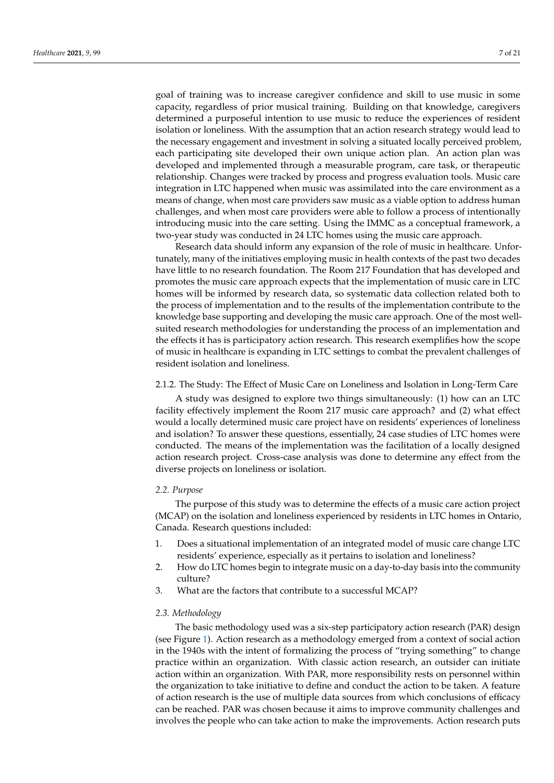goal of training was to increase caregiver confidence and skill to use music in some capacity, regardless of prior musical training. Building on that knowledge, caregivers determined a purposeful intention to use music to reduce the experiences of resident isolation or loneliness. With the assumption that an action research strategy would lead to the necessary engagement and investment in solving a situated locally perceived problem, each participating site developed their own unique action plan. An action plan was developed and implemented through a measurable program, care task, or therapeutic relationship. Changes were tracked by process and progress evaluation tools. Music care integration in LTC happened when music was assimilated into the care environment as a means of change, when most care providers saw music as a viable option to address human challenges, and when most care providers were able to follow a process of intentionally introducing music into the care setting. Using the IMMC as a conceptual framework, a two-year study was conducted in 24 LTC homes using the music care approach.

Research data should inform any expansion of the role of music in healthcare. Unfortunately, many of the initiatives employing music in health contexts of the past two decades have little to no research foundation. The Room 217 Foundation that has developed and promotes the music care approach expects that the implementation of music care in LTC homes will be informed by research data, so systematic data collection related both to the process of implementation and to the results of the implementation contribute to the knowledge base supporting and developing the music care approach. One of the most wellsuited research methodologies for understanding the process of an implementation and the effects it has is participatory action research. This research exemplifies how the scope of music in healthcare is expanding in LTC settings to combat the prevalent challenges of resident isolation and loneliness.

#### 2.1.2. The Study: The Effect of Music Care on Loneliness and Isolation in Long-Term Care

A study was designed to explore two things simultaneously: (1) how can an LTC facility effectively implement the Room 217 music care approach? and (2) what effect would a locally determined music care project have on residents' experiences of loneliness and isolation? To answer these questions, essentially, 24 case studies of LTC homes were conducted. The means of the implementation was the facilitation of a locally designed action research project. Cross-case analysis was done to determine any effect from the diverse projects on loneliness or isolation.

#### *2.2. Purpose*

The purpose of this study was to determine the effects of a music care action project (MCAP) on the isolation and loneliness experienced by residents in LTC homes in Ontario, Canada. Research questions included:

- 1. Does a situational implementation of an integrated model of music care change LTC residents' experience, especially as it pertains to isolation and loneliness?
- 2. How do LTC homes begin to integrate music on a day-to-day basis into the community culture?
- 3. What are the factors that contribute to a successful MCAP?

#### *2.3. Methodology*

The basic methodology used was a six-step participatory action research (PAR) design (see Figure [1\)](#page-7-0). Action research as a methodology emerged from a context of social action in the 1940s with the intent of formalizing the process of "trying something" to change practice within an organization. With classic action research, an outsider can initiate action within an organization. With PAR, more responsibility rests on personnel within the organization to take initiative to define and conduct the action to be taken. A feature of action research is the use of multiple data sources from which conclusions of efficacy can be reached. PAR was chosen because it aims to improve community challenges and involves the people who can take action to make the improvements. Action research puts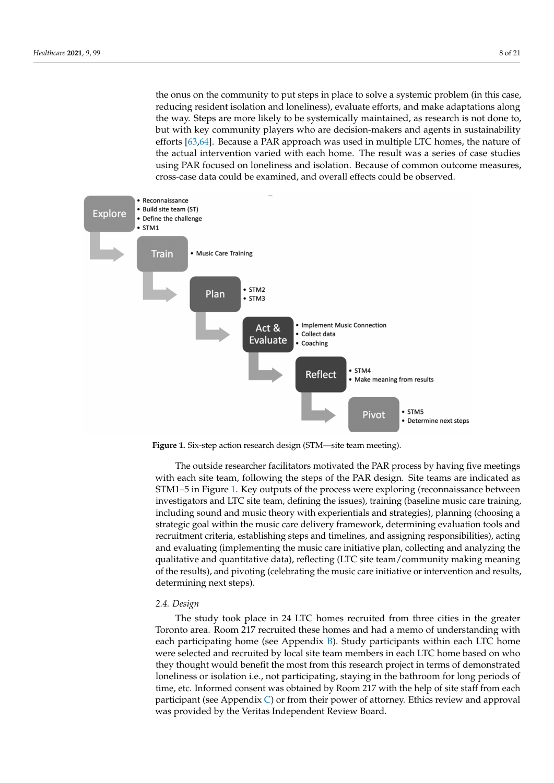the onus on the community to put steps in place to solve a systemic problem (in this case, reducing resident isolation and loneliness), evaluate efforts, and make adaptations along the way. Steps are more likely to be systemically maintained, as research is not done to, but with key community players who are decision-makers and agents in sustainability efforts [\[63](#page-20-9)[,64\]](#page-20-10). Because a PAR approach was used in multiple LTC homes, the nature of the actual intervention varied with each home. The result was a series of case studies using PAR focused on loneliness and isolation. Because of common outcome measures, cross-case data could be examined, and overall effects could be observed.

<span id="page-7-0"></span>

**Figure 1.** Six-step action research design (STM—site team meeting).

The outside researcher facilitators motivated the PAR process by having five meetings with each site team, following the steps of the PAR design. Site teams are indicated as STM1–5 in Figure [1.](#page-7-0) Key outputs of the process were exploring (reconnaissance between investigators and LTC site team, defining the issues), training (baseline music care training, including sound and music theory with experientials and strategies), planning (choosing a strategic goal within the music care delivery framework, determining evaluation tools and recruitment criteria, establishing steps and timelines, and assigning responsibilities), acting and evaluating (implementing the music care initiative plan, collecting and analyzing the qualitative and quantitative data), reflecting (LTC site team/community making meaning of the results), and pivoting (celebrating the music care initiative or intervention and results, determining next steps).

#### *2.4. Design*

The study took place in 24 LTC homes recruited from three cities in the greater Toronto area. Room 217 recruited these homes and had a memo of understanding with each participating home (see Appendix [B\)](#page-15-0). Study participants within each LTC home were selected and recruited by local site team members in each LTC home based on who they thought would benefit the most from this research project in terms of demonstrated loneliness or isolation i.e., not participating, staying in the bathroom for long periods of time, etc. Informed consent was obtained by Room 217 with the help of site staff from each participant (see Appendix [C\)](#page-17-0) or from their power of attorney. Ethics review and approval was provided by the Veritas Independent Review Board.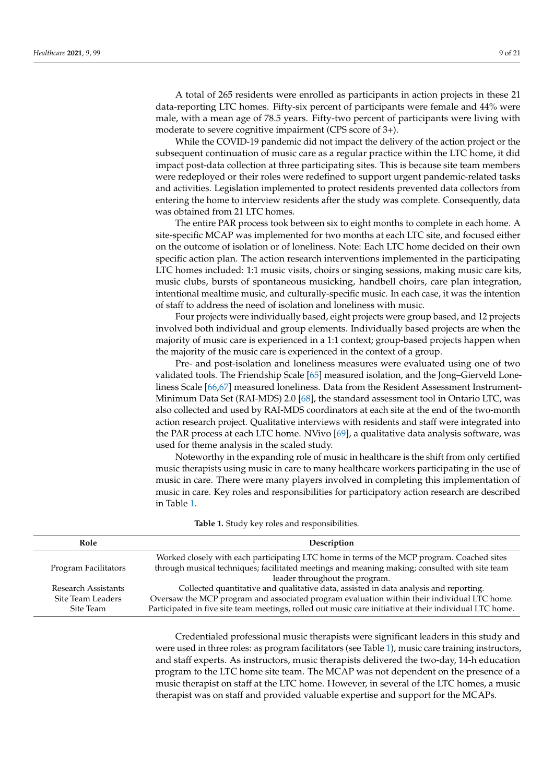A total of 265 residents were enrolled as participants in action projects in these 21 data-reporting LTC homes. Fifty-six percent of participants were female and 44% were male, with a mean age of 78.5 years. Fifty-two percent of participants were living with moderate to severe cognitive impairment (CPS score of 3+).

While the COVID-19 pandemic did not impact the delivery of the action project or the subsequent continuation of music care as a regular practice within the LTC home, it did impact post-data collection at three participating sites. This is because site team members were redeployed or their roles were redefined to support urgent pandemic-related tasks and activities. Legislation implemented to protect residents prevented data collectors from entering the home to interview residents after the study was complete. Consequently, data was obtained from 21 LTC homes.

The entire PAR process took between six to eight months to complete in each home. A site-specific MCAP was implemented for two months at each LTC site, and focused either on the outcome of isolation or of loneliness. Note: Each LTC home decided on their own specific action plan. The action research interventions implemented in the participating LTC homes included: 1:1 music visits, choirs or singing sessions, making music care kits, music clubs, bursts of spontaneous musicking, handbell choirs, care plan integration, intentional mealtime music, and culturally-specific music. In each case, it was the intention of staff to address the need of isolation and loneliness with music.

Four projects were individually based, eight projects were group based, and 12 projects involved both individual and group elements. Individually based projects are when the majority of music care is experienced in a 1:1 context; group-based projects happen when the majority of the music care is experienced in the context of a group.

Pre- and post-isolation and loneliness measures were evaluated using one of two validated tools. The Friendship Scale [\[65\]](#page-20-11) measured isolation, and the Jong–Gierveld Loneliness Scale [\[66,](#page-20-12)[67\]](#page-20-13) measured loneliness. Data from the Resident Assessment Instrument-Minimum Data Set (RAI-MDS) 2.0 [\[68\]](#page-20-14), the standard assessment tool in Ontario LTC, was also collected and used by RAI-MDS coordinators at each site at the end of the two-month action research project. Qualitative interviews with residents and staff were integrated into the PAR process at each LTC home. NVivo [\[69\]](#page-20-15), a qualitative data analysis software, was used for theme analysis in the scaled study.

Noteworthy in the expanding role of music in healthcare is the shift from only certified music therapists using music in care to many healthcare workers participating in the use of music in care. There were many players involved in completing this implementation of music in care. Key roles and responsibilities for participatory action research are described in Table [1.](#page-8-0)

<span id="page-8-0"></span>

| Role                 | Description                                                                                                                                                                                 |  |
|----------------------|---------------------------------------------------------------------------------------------------------------------------------------------------------------------------------------------|--|
| Program Facilitators | Worked closely with each participating LTC home in terms of the MCP program. Coached sites<br>through musical techniques; facilitated meetings and meaning making; consulted with site team |  |
|                      | leader throughout the program.                                                                                                                                                              |  |
| Research Assistants  | Collected quantitative and qualitative data, assisted in data analysis and reporting.                                                                                                       |  |
| Site Team Leaders    | Oversaw the MCP program and associated program evaluation within their individual LTC home.                                                                                                 |  |
| Site Team            | Participated in five site team meetings, rolled out music care initiative at their individual LTC home.                                                                                     |  |
|                      |                                                                                                                                                                                             |  |

**Table 1.** Study key roles and responsibilities.

Credentialed professional music therapists were significant leaders in this study and were used in three roles: as program facilitators (see Table [1\)](#page-8-0), music care training instructors, and staff experts. As instructors, music therapists delivered the two-day, 14-h education program to the LTC home site team. The MCAP was not dependent on the presence of a music therapist on staff at the LTC home. However, in several of the LTC homes, a music therapist was on staff and provided valuable expertise and support for the MCAPs.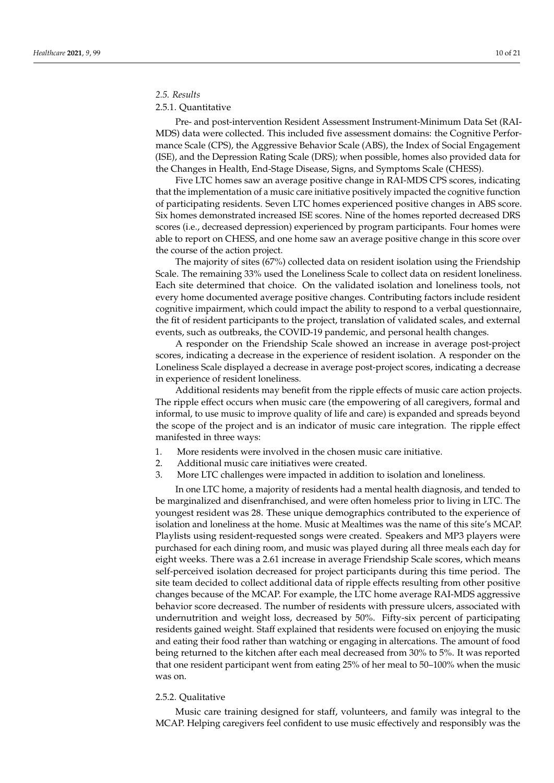## *2.5. Results*

## 2.5.1. Quantitative

Pre- and post-intervention Resident Assessment Instrument-Minimum Data Set (RAI-MDS) data were collected. This included five assessment domains: the Cognitive Performance Scale (CPS), the Aggressive Behavior Scale (ABS), the Index of Social Engagement (ISE), and the Depression Rating Scale (DRS); when possible, homes also provided data for the Changes in Health, End-Stage Disease, Signs, and Symptoms Scale (CHESS).

Five LTC homes saw an average positive change in RAI-MDS CPS scores, indicating that the implementation of a music care initiative positively impacted the cognitive function of participating residents. Seven LTC homes experienced positive changes in ABS score. Six homes demonstrated increased ISE scores. Nine of the homes reported decreased DRS scores (i.e., decreased depression) experienced by program participants. Four homes were able to report on CHESS, and one home saw an average positive change in this score over the course of the action project.

The majority of sites (67%) collected data on resident isolation using the Friendship Scale. The remaining 33% used the Loneliness Scale to collect data on resident loneliness. Each site determined that choice. On the validated isolation and loneliness tools, not every home documented average positive changes. Contributing factors include resident cognitive impairment, which could impact the ability to respond to a verbal questionnaire, the fit of resident participants to the project, translation of validated scales, and external events, such as outbreaks, the COVID-19 pandemic, and personal health changes.

A responder on the Friendship Scale showed an increase in average post-project scores, indicating a decrease in the experience of resident isolation. A responder on the Loneliness Scale displayed a decrease in average post-project scores, indicating a decrease in experience of resident loneliness.

Additional residents may benefit from the ripple effects of music care action projects. The ripple effect occurs when music care (the empowering of all caregivers, formal and informal, to use music to improve quality of life and care) is expanded and spreads beyond the scope of the project and is an indicator of music care integration. The ripple effect manifested in three ways:

- 1. More residents were involved in the chosen music care initiative.
- 2. Additional music care initiatives were created.
- 3. More LTC challenges were impacted in addition to isolation and loneliness.

In one LTC home, a majority of residents had a mental health diagnosis, and tended to be marginalized and disenfranchised, and were often homeless prior to living in LTC. The youngest resident was 28. These unique demographics contributed to the experience of isolation and loneliness at the home. Music at Mealtimes was the name of this site's MCAP. Playlists using resident-requested songs were created. Speakers and MP3 players were purchased for each dining room, and music was played during all three meals each day for eight weeks. There was a 2.61 increase in average Friendship Scale scores, which means self-perceived isolation decreased for project participants during this time period. The site team decided to collect additional data of ripple effects resulting from other positive changes because of the MCAP. For example, the LTC home average RAI-MDS aggressive behavior score decreased. The number of residents with pressure ulcers, associated with undernutrition and weight loss, decreased by 50%. Fifty-six percent of participating residents gained weight. Staff explained that residents were focused on enjoying the music and eating their food rather than watching or engaging in altercations. The amount of food being returned to the kitchen after each meal decreased from 30% to 5%. It was reported that one resident participant went from eating 25% of her meal to 50–100% when the music was on.

## 2.5.2. Qualitative

Music care training designed for staff, volunteers, and family was integral to the MCAP. Helping caregivers feel confident to use music effectively and responsibly was the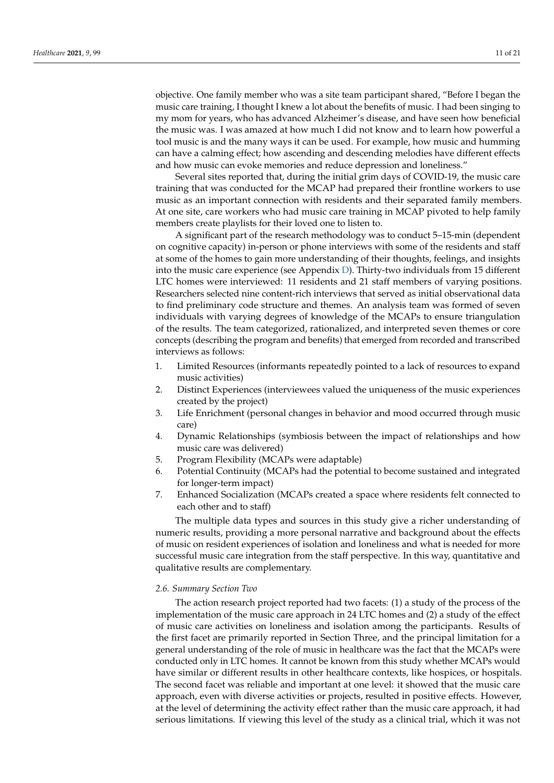objective. One family member who was a site team participant shared, "Before I began the music care training, I thought I knew a lot about the benefits of music. I had been singing to my mom for years, who has advanced Alzheimer's disease, and have seen how beneficial the music was. I was amazed at how much I did not know and to learn how powerful a tool music is and the many ways it can be used. For example, how music and humming can have a calming effect; how ascending and descending melodies have different effects and how music can evoke memories and reduce depression and loneliness."

Several sites reported that, during the initial grim days of COVID-19, the music care training that was conducted for the MCAP had prepared their frontline workers to use music as an important connection with residents and their separated family members. At one site, care workers who had music care training in MCAP pivoted to help family members create playlists for their loved one to listen to.

A significant part of the research methodology was to conduct 5–15-min (dependent on cognitive capacity) in-person or phone interviews with some of the residents and staff at some of the homes to gain more understanding of their thoughts, feelings, and insights into the music care experience (see Appendix [D\)](#page-18-10). Thirty-two individuals from 15 different LTC homes were interviewed: 11 residents and 21 staff members of varying positions. Researchers selected nine content-rich interviews that served as initial observational data to find preliminary code structure and themes. An analysis team was formed of seven individuals with varying degrees of knowledge of the MCAPs to ensure triangulation of the results. The team categorized, rationalized, and interpreted seven themes or core concepts (describing the program and benefits) that emerged from recorded and transcribed interviews as follows:

- 1. Limited Resources (informants repeatedly pointed to a lack of resources to expand music activities)
- 2. Distinct Experiences (interviewees valued the uniqueness of the music experiences created by the project)
- 3. Life Enrichment (personal changes in behavior and mood occurred through music care)
- 4. Dynamic Relationships (symbiosis between the impact of relationships and how music care was delivered)
- 5. Program Flexibility (MCAPs were adaptable)
- 6. Potential Continuity (MCAPs had the potential to become sustained and integrated for longer-term impact)
- 7. Enhanced Socialization (MCAPs created a space where residents felt connected to each other and to staff)

The multiple data types and sources in this study give a richer understanding of numeric results, providing a more personal narrative and background about the effects of music on resident experiences of isolation and loneliness and what is needed for more successful music care integration from the staff perspective. In this way, quantitative and qualitative results are complementary.

#### *2.6. Summary Section Two*

The action research project reported had two facets: (1) a study of the process of the implementation of the music care approach in 24 LTC homes and (2) a study of the effect of music care activities on loneliness and isolation among the participants. Results of the first facet are primarily reported in Section Three, and the principal limitation for a general understanding of the role of music in healthcare was the fact that the MCAPs were conducted only in LTC homes. It cannot be known from this study whether MCAPs would have similar or different results in other healthcare contexts, like hospices, or hospitals. The second facet was reliable and important at one level: it showed that the music care approach, even with diverse activities or projects, resulted in positive effects. However, at the level of determining the activity effect rather than the music care approach, it had serious limitations. If viewing this level of the study as a clinical trial, which it was not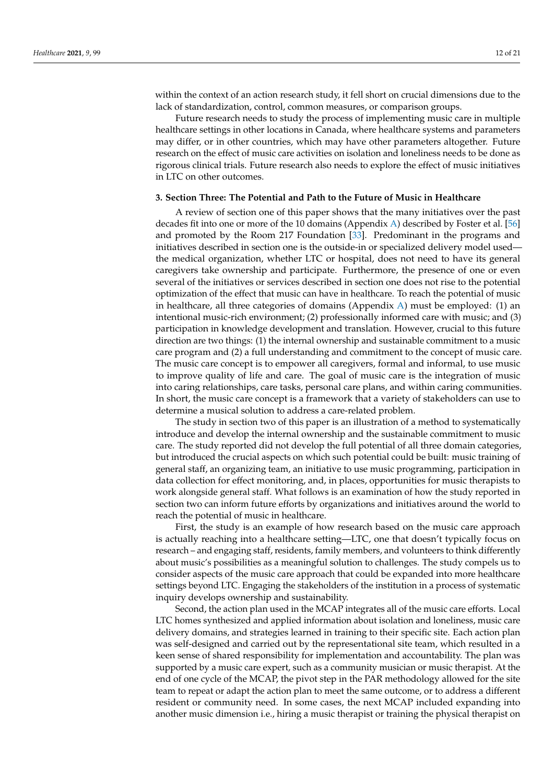within the context of an action research study, it fell short on crucial dimensions due to the lack of standardization, control, common measures, or comparison groups.

Future research needs to study the process of implementing music care in multiple healthcare settings in other locations in Canada, where healthcare systems and parameters may differ, or in other countries, which may have other parameters altogether. Future research on the effect of music care activities on isolation and loneliness needs to be done as rigorous clinical trials. Future research also needs to explore the effect of music initiatives in LTC on other outcomes.

#### **3. Section Three: The Potential and Path to the Future of Music in Healthcare**

A review of section one of this paper shows that the many initiatives over the past decades fit into one or more of the 10 domains (Appendix [A\)](#page-14-0) described by Foster et al. [\[56\]](#page-20-4) and promoted by the Room 217 Foundation [\[33\]](#page-19-16). Predominant in the programs and initiatives described in section one is the outside-in or specialized delivery model used the medical organization, whether LTC or hospital, does not need to have its general caregivers take ownership and participate. Furthermore, the presence of one or even several of the initiatives or services described in section one does not rise to the potential optimization of the effect that music can have in healthcare. To reach the potential of music in healthcare, all three categories of domains (Appendix [A\)](#page-14-0) must be employed: (1) an intentional music-rich environment; (2) professionally informed care with music; and (3) participation in knowledge development and translation. However, crucial to this future direction are two things: (1) the internal ownership and sustainable commitment to a music care program and (2) a full understanding and commitment to the concept of music care. The music care concept is to empower all caregivers, formal and informal, to use music to improve quality of life and care. The goal of music care is the integration of music into caring relationships, care tasks, personal care plans, and within caring communities. In short, the music care concept is a framework that a variety of stakeholders can use to determine a musical solution to address a care-related problem.

The study in section two of this paper is an illustration of a method to systematically introduce and develop the internal ownership and the sustainable commitment to music care. The study reported did not develop the full potential of all three domain categories, but introduced the crucial aspects on which such potential could be built: music training of general staff, an organizing team, an initiative to use music programming, participation in data collection for effect monitoring, and, in places, opportunities for music therapists to work alongside general staff. What follows is an examination of how the study reported in section two can inform future efforts by organizations and initiatives around the world to reach the potential of music in healthcare.

First, the study is an example of how research based on the music care approach is actually reaching into a healthcare setting—LTC, one that doesn't typically focus on research – and engaging staff, residents, family members, and volunteers to think differently about music's possibilities as a meaningful solution to challenges. The study compels us to consider aspects of the music care approach that could be expanded into more healthcare settings beyond LTC. Engaging the stakeholders of the institution in a process of systematic inquiry develops ownership and sustainability.

Second, the action plan used in the MCAP integrates all of the music care efforts. Local LTC homes synthesized and applied information about isolation and loneliness, music care delivery domains, and strategies learned in training to their specific site. Each action plan was self-designed and carried out by the representational site team, which resulted in a keen sense of shared responsibility for implementation and accountability. The plan was supported by a music care expert, such as a community musician or music therapist. At the end of one cycle of the MCAP, the pivot step in the PAR methodology allowed for the site team to repeat or adapt the action plan to meet the same outcome, or to address a different resident or community need. In some cases, the next MCAP included expanding into another music dimension i.e., hiring a music therapist or training the physical therapist on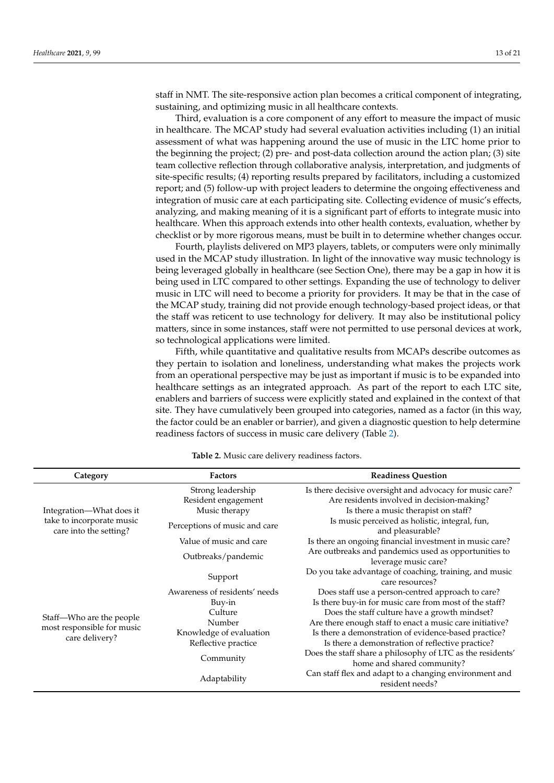staff in NMT. The site-responsive action plan becomes a critical component of integrating, sustaining, and optimizing music in all healthcare contexts.

Third, evaluation is a core component of any effort to measure the impact of music in healthcare. The MCAP study had several evaluation activities including (1) an initial assessment of what was happening around the use of music in the LTC home prior to the beginning the project; (2) pre- and post-data collection around the action plan; (3) site team collective reflection through collaborative analysis, interpretation, and judgments of site-specific results; (4) reporting results prepared by facilitators, including a customized report; and (5) follow-up with project leaders to determine the ongoing effectiveness and integration of music care at each participating site. Collecting evidence of music's effects, analyzing, and making meaning of it is a significant part of efforts to integrate music into healthcare. When this approach extends into other health contexts, evaluation, whether by checklist or by more rigorous means, must be built in to determine whether changes occur.

Fourth, playlists delivered on MP3 players, tablets, or computers were only minimally used in the MCAP study illustration. In light of the innovative way music technology is being leveraged globally in healthcare (see Section One), there may be a gap in how it is being used in LTC compared to other settings. Expanding the use of technology to deliver music in LTC will need to become a priority for providers. It may be that in the case of the MCAP study, training did not provide enough technology-based project ideas, or that the staff was reticent to use technology for delivery. It may also be institutional policy matters, since in some instances, staff were not permitted to use personal devices at work, so technological applications were limited.

Fifth, while quantitative and qualitative results from MCAPs describe outcomes as they pertain to isolation and loneliness, understanding what makes the projects work from an operational perspective may be just as important if music is to be expanded into healthcare settings as an integrated approach. As part of the report to each LTC site, enablers and barriers of success were explicitly stated and explained in the context of that site. They have cumulatively been grouped into categories, named as a factor (in this way, the factor could be an enabler or barrier), and given a diagnostic question to help determine readiness factors of success in music care delivery (Table [2\)](#page-12-0).

<span id="page-12-0"></span>

| Category                                                                        | <b>Factors</b>                | <b>Readiness Question</b>                                                                |
|---------------------------------------------------------------------------------|-------------------------------|------------------------------------------------------------------------------------------|
|                                                                                 | Strong leadership             | Is there decisive oversight and advocacy for music care?                                 |
|                                                                                 | Resident engagement           | Are residents involved in decision-making?                                               |
| Integration—What does it<br>take to incorporate music<br>care into the setting? | Music therapy                 | Is there a music therapist on staff?                                                     |
|                                                                                 | Perceptions of music and care | Is music perceived as holistic, integral, fun,<br>and pleasurable?                       |
|                                                                                 | Value of music and care       | Is there an ongoing financial investment in music care?                                  |
|                                                                                 | Outbreaks/pandemic            | Are outbreaks and pandemics used as opportunities to<br>leverage music care?             |
|                                                                                 | Support                       | Do you take advantage of coaching, training, and music<br>care resources?                |
|                                                                                 | Awareness of residents' needs | Does staff use a person-centred approach to care?                                        |
|                                                                                 | Buy-in                        | Is there buy-in for music care from most of the staff?                                   |
|                                                                                 | Culture                       | Does the staff culture have a growth mindset?                                            |
| Staff—Who are the people<br>most responsible for music<br>care delivery?        | Number                        | Are there enough staff to enact a music care initiative?                                 |
|                                                                                 | Knowledge of evaluation       | Is there a demonstration of evidence-based practice?                                     |
|                                                                                 | Reflective practice           | Is there a demonstration of reflective practice?                                         |
|                                                                                 | Community                     | Does the staff share a philosophy of LTC as the residents'<br>home and shared community? |
|                                                                                 | Adaptability                  | Can staff flex and adapt to a changing environment and<br>resident needs?                |

**Table 2.** Music care delivery readiness factors.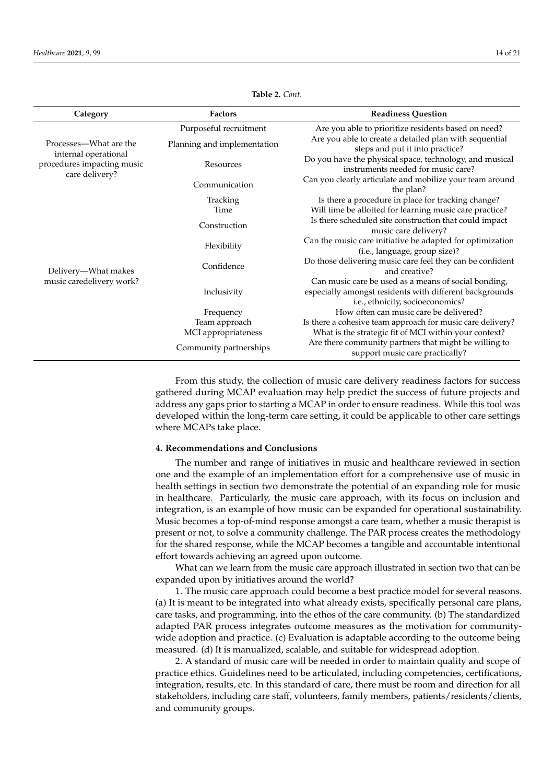| Category                                                                                       | <b>Factors</b>              | <b>Readiness Question</b>                                                                                                                           |
|------------------------------------------------------------------------------------------------|-----------------------------|-----------------------------------------------------------------------------------------------------------------------------------------------------|
| Processes—What are the<br>internal operational<br>procedures impacting music<br>care delivery? | Purposeful recruitment      | Are you able to prioritize residents based on need?                                                                                                 |
|                                                                                                | Planning and implementation | Are you able to create a detailed plan with sequential<br>steps and put it into practice?                                                           |
|                                                                                                | Resources                   | Do you have the physical space, technology, and musical<br>instruments needed for music care?                                                       |
|                                                                                                | Communication               | Can you clearly articulate and mobilize your team around<br>the plan?                                                                               |
|                                                                                                | Tracking                    | Is there a procedure in place for tracking change?                                                                                                  |
|                                                                                                | Time                        | Will time be allotted for learning music care practice?                                                                                             |
| Delivery—What makes<br>music caredelivery work?                                                | Construction                | Is there scheduled site construction that could impact<br>music care delivery?                                                                      |
|                                                                                                | Flexibility                 | Can the music care initiative be adapted for optimization<br>(i.e., language, group size)?                                                          |
|                                                                                                | Confidence                  | Do those delivering music care feel they can be confident<br>and creative?                                                                          |
|                                                                                                | Inclusivity                 | Can music care be used as a means of social bonding,<br>especially amongst residents with different backgrounds<br>i.e., ethnicity, socioeconomics? |
|                                                                                                | Frequency                   | How often can music care be delivered?                                                                                                              |
|                                                                                                | Team approach               | Is there a cohesive team approach for music care delivery?                                                                                          |
|                                                                                                | MCI appropriateness         | What is the strategic fit of MCI within your context?                                                                                               |
|                                                                                                | Community partnerships      | Are there community partners that might be willing to<br>support music care practically?                                                            |

**Table 2.** *Cont.*

From this study, the collection of music care delivery readiness factors for success gathered during MCAP evaluation may help predict the success of future projects and address any gaps prior to starting a MCAP in order to ensure readiness. While this tool was developed within the long-term care setting, it could be applicable to other care settings where MCAPs take place.

#### **4. Recommendations and Conclusions**

The number and range of initiatives in music and healthcare reviewed in section one and the example of an implementation effort for a comprehensive use of music in health settings in section two demonstrate the potential of an expanding role for music in healthcare. Particularly, the music care approach, with its focus on inclusion and integration, is an example of how music can be expanded for operational sustainability. Music becomes a top-of-mind response amongst a care team, whether a music therapist is present or not, to solve a community challenge. The PAR process creates the methodology for the shared response, while the MCAP becomes a tangible and accountable intentional effort towards achieving an agreed upon outcome.

What can we learn from the music care approach illustrated in section two that can be expanded upon by initiatives around the world?

1. The music care approach could become a best practice model for several reasons. (a) It is meant to be integrated into what already exists, specifically personal care plans, care tasks, and programming, into the ethos of the care community. (b) The standardized adapted PAR process integrates outcome measures as the motivation for communitywide adoption and practice. (c) Evaluation is adaptable according to the outcome being measured. (d) It is manualized, scalable, and suitable for widespread adoption.

2. A standard of music care will be needed in order to maintain quality and scope of practice ethics. Guidelines need to be articulated, including competencies, certifications, integration, results, etc. In this standard of care, there must be room and direction for all stakeholders, including care staff, volunteers, family members, patients/residents/clients, and community groups.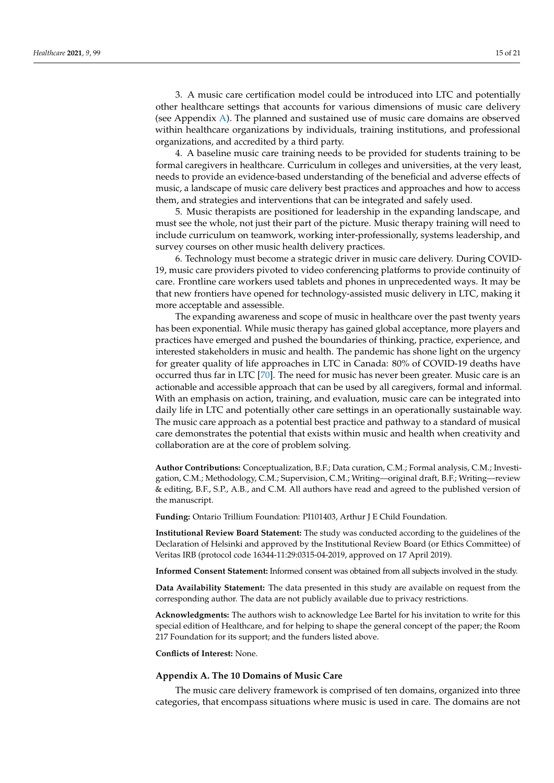3. A music care certification model could be introduced into LTC and potentially other healthcare settings that accounts for various dimensions of music care delivery (see Appendix [A\)](#page-14-0). The planned and sustained use of music care domains are observed within healthcare organizations by individuals, training institutions, and professional organizations, and accredited by a third party.

4. A baseline music care training needs to be provided for students training to be formal caregivers in healthcare. Curriculum in colleges and universities, at the very least, needs to provide an evidence-based understanding of the beneficial and adverse effects of music, a landscape of music care delivery best practices and approaches and how to access them, and strategies and interventions that can be integrated and safely used.

5. Music therapists are positioned for leadership in the expanding landscape, and must see the whole, not just their part of the picture. Music therapy training will need to include curriculum on teamwork, working inter-professionally, systems leadership, and survey courses on other music health delivery practices.

6. Technology must become a strategic driver in music care delivery. During COVID-19, music care providers pivoted to video conferencing platforms to provide continuity of care. Frontline care workers used tablets and phones in unprecedented ways. It may be that new frontiers have opened for technology-assisted music delivery in LTC, making it more acceptable and assessible.

The expanding awareness and scope of music in healthcare over the past twenty years has been exponential. While music therapy has gained global acceptance, more players and practices have emerged and pushed the boundaries of thinking, practice, experience, and interested stakeholders in music and health. The pandemic has shone light on the urgency for greater quality of life approaches in LTC in Canada: 80% of COVID-19 deaths have occurred thus far in LTC [\[70\]](#page-20-16). The need for music has never been greater. Music care is an actionable and accessible approach that can be used by all caregivers, formal and informal. With an emphasis on action, training, and evaluation, music care can be integrated into daily life in LTC and potentially other care settings in an operationally sustainable way. The music care approach as a potential best practice and pathway to a standard of musical care demonstrates the potential that exists within music and health when creativity and collaboration are at the core of problem solving.

**Author Contributions:** Conceptualization, B.F.; Data curation, C.M.; Formal analysis, C.M.; Investigation, C.M.; Methodology, C.M.; Supervision, C.M.; Writing—original draft, B.F.; Writing—review & editing, B.F., S.P., A.B., and C.M. All authors have read and agreed to the published version of the manuscript.

**Funding:** Ontario Trillium Foundation: PI101403, Arthur J E Child Foundation.

**Institutional Review Board Statement:** The study was conducted according to the guidelines of the Declaration of Helsinki and approved by the Institutional Review Board (or Ethics Committee) of Veritas IRB (protocol code 16344-11:29:0315-04-2019, approved on 17 April 2019).

**Informed Consent Statement:** Informed consent was obtained from all subjects involved in the study.

**Data Availability Statement:** The data presented in this study are available on request from the corresponding author. The data are not publicly available due to privacy restrictions.

**Acknowledgments:** The authors wish to acknowledge Lee Bartel for his invitation to write for this special edition of Healthcare, and for helping to shape the general concept of the paper; the Room 217 Foundation for its support; and the funders listed above.

**Conflicts of Interest:** None.

#### <span id="page-14-0"></span>**Appendix A. The 10 Domains of Music Care**

The music care delivery framework is comprised of ten domains, organized into three categories, that encompass situations where music is used in care. The domains are not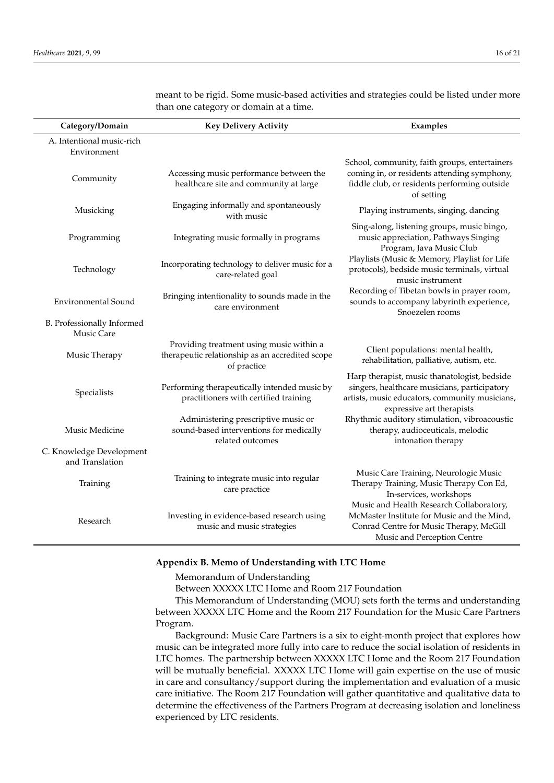| Category/Domain                                 | <b>Key Delivery Activity</b>                                                                               | Examples                                                                                                                                                                    |
|-------------------------------------------------|------------------------------------------------------------------------------------------------------------|-----------------------------------------------------------------------------------------------------------------------------------------------------------------------------|
| A. Intentional music-rich<br>Environment        |                                                                                                            |                                                                                                                                                                             |
| Community                                       | Accessing music performance between the<br>healthcare site and community at large                          | School, community, faith groups, entertainers<br>coming in, or residents attending symphony,<br>fiddle club, or residents performing outside<br>of setting                  |
| Musicking                                       | Engaging informally and spontaneously<br>with music                                                        | Playing instruments, singing, dancing                                                                                                                                       |
| Programming                                     | Integrating music formally in programs                                                                     | Sing-along, listening groups, music bingo,<br>music appreciation, Pathways Singing<br>Program, Java Music Club                                                              |
| Technology                                      | Incorporating technology to deliver music for a<br>care-related goal                                       | Playlists (Music & Memory, Playlist for Life<br>protocols), bedside music terminals, virtual<br>music instrument                                                            |
| <b>Environmental Sound</b>                      | Bringing intentionality to sounds made in the<br>care environment                                          | Recording of Tibetan bowls in prayer room,<br>sounds to accompany labyrinth experience,<br>Snoezelen rooms                                                                  |
| B. Professionally Informed<br><b>Music Care</b> |                                                                                                            |                                                                                                                                                                             |
| Music Therapy                                   | Providing treatment using music within a<br>therapeutic relationship as an accredited scope<br>of practice | Client populations: mental health,<br>rehabilitation, palliative, autism, etc.                                                                                              |
| Specialists                                     | Performing therapeutically intended music by<br>practitioners with certified training                      | Harp therapist, music thanatologist, bedside<br>singers, healthcare musicians, participatory<br>artists, music educators, community musicians,<br>expressive art therapists |
| Music Medicine                                  | Administering prescriptive music or<br>sound-based interventions for medically<br>related outcomes         | Rhythmic auditory stimulation, vibroacoustic<br>therapy, audioceuticals, melodic<br>intonation therapy                                                                      |
| C. Knowledge Development<br>and Translation     |                                                                                                            |                                                                                                                                                                             |
| Training                                        | Training to integrate music into regular<br>care practice                                                  | Music Care Training, Neurologic Music<br>Therapy Training, Music Therapy Con Ed,<br>In-services, workshops                                                                  |
| Research                                        | Investing in evidence-based research using<br>music and music strategies                                   | Music and Health Research Collaboratory,<br>McMaster Institute for Music and the Mind,<br>Conrad Centre for Music Therapy, McGill<br>Music and Perception Centre            |

meant to be rigid. Some music-based activities and strategies could be listed under more than one category or domain at a time.

#### <span id="page-15-0"></span>**Appendix B. Memo of Understanding with LTC Home**

Memorandum of Understanding

Between XXXXX LTC Home and Room 217 Foundation

This Memorandum of Understanding (MOU) sets forth the terms and understanding between XXXXX LTC Home and the Room 217 Foundation for the Music Care Partners Program.

Background: Music Care Partners is a six to eight-month project that explores how music can be integrated more fully into care to reduce the social isolation of residents in LTC homes. The partnership between XXXXX LTC Home and the Room 217 Foundation will be mutually beneficial. XXXXX LTC Home will gain expertise on the use of music in care and consultancy/support during the implementation and evaluation of a music care initiative. The Room 217 Foundation will gather quantitative and qualitative data to determine the effectiveness of the Partners Program at decreasing isolation and loneliness experienced by LTC residents.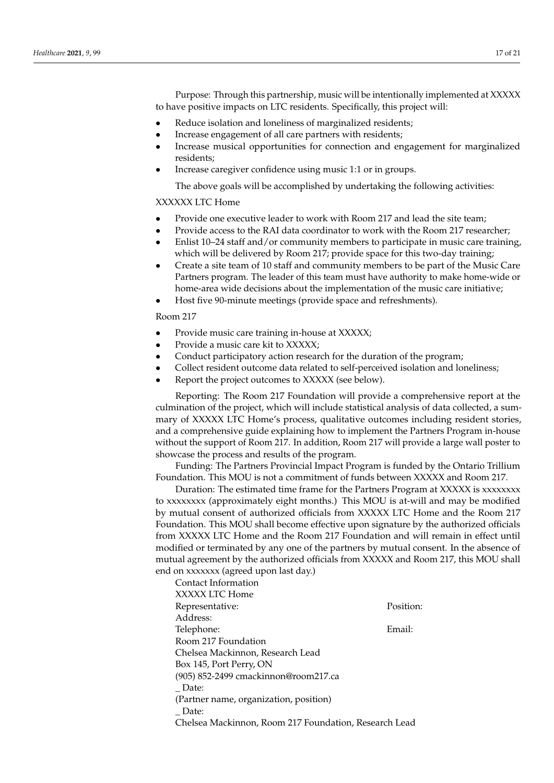Purpose: Through this partnership, music will be intentionally implemented at XXXXX to have positive impacts on LTC residents. Specifically, this project will:

- Reduce isolation and loneliness of marginalized residents;
- Increase engagement of all care partners with residents;
- Increase musical opportunities for connection and engagement for marginalized residents;
- Increase caregiver confidence using music 1:1 or in groups.

The above goals will be accomplished by undertaking the following activities:

# XXXXXX LTC Home

- Provide one executive leader to work with Room 217 and lead the site team;
- Provide access to the RAI data coordinator to work with the Room 217 researcher;
- Enlist 10–24 staff and/or community members to participate in music care training, which will be delivered by Room 217; provide space for this two-day training;
- Create a site team of 10 staff and community members to be part of the Music Care Partners program. The leader of this team must have authority to make home-wide or home-area wide decisions about the implementation of the music care initiative;
- Host five 90-minute meetings (provide space and refreshments).

#### Room 217

- Provide music care training in-house at XXXXX;
- Provide a music care kit to XXXXX;
- Conduct participatory action research for the duration of the program;
- Collect resident outcome data related to self-perceived isolation and loneliness;
- Report the project outcomes to XXXXX (see below).

Reporting: The Room 217 Foundation will provide a comprehensive report at the culmination of the project, which will include statistical analysis of data collected, a summary of XXXXX LTC Home's process, qualitative outcomes including resident stories, and a comprehensive guide explaining how to implement the Partners Program in-house without the support of Room 217. In addition, Room 217 will provide a large wall poster to showcase the process and results of the program.

Funding: The Partners Provincial Impact Program is funded by the Ontario Trillium Foundation. This MOU is not a commitment of funds between XXXXX and Room 217.

Duration: The estimated time frame for the Partners Program at XXXXX is xxxxxxxx to xxxxxxxx (approximately eight months.) This MOU is at-will and may be modified by mutual consent of authorized officials from XXXXX LTC Home and the Room 217 Foundation. This MOU shall become effective upon signature by the authorized officials from XXXXX LTC Home and the Room 217 Foundation and will remain in effect until modified or terminated by any one of the partners by mutual consent. In the absence of mutual agreement by the authorized officials from XXXXX and Room 217, this MOU shall end on xxxxxxx (agreed upon last day.)

| Contact Information                                   |           |  |
|-------------------------------------------------------|-----------|--|
| XXXXX LTC Home                                        |           |  |
| Representative:                                       | Position: |  |
| Address:                                              |           |  |
| Telephone:                                            | Email:    |  |
| Room 217 Foundation                                   |           |  |
| Chelsea Mackinnon, Research Lead                      |           |  |
| Box 145, Port Perry, ON                               |           |  |
| (905) 852-2499 cmackinnon@room217.ca                  |           |  |
| Date:                                                 |           |  |
| (Partner name, organization, position)                |           |  |
| Date:                                                 |           |  |
| Chelsea Mackinnon, Room 217 Foundation, Research Lead |           |  |
|                                                       |           |  |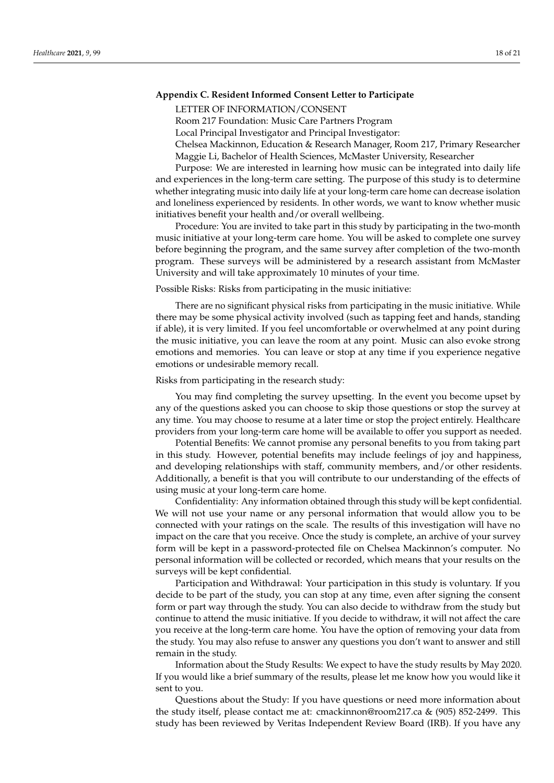## <span id="page-17-0"></span>**Appendix C. Resident Informed Consent Letter to Participate**

LETTER OF INFORMATION/CONSENT

Room 217 Foundation: Music Care Partners Program

Local Principal Investigator and Principal Investigator:

Chelsea Mackinnon, Education & Research Manager, Room 217, Primary Researcher Maggie Li, Bachelor of Health Sciences, McMaster University, Researcher

Purpose: We are interested in learning how music can be integrated into daily life and experiences in the long-term care setting. The purpose of this study is to determine whether integrating music into daily life at your long-term care home can decrease isolation and loneliness experienced by residents. In other words, we want to know whether music initiatives benefit your health and/or overall wellbeing.

Procedure: You are invited to take part in this study by participating in the two-month music initiative at your long-term care home. You will be asked to complete one survey before beginning the program, and the same survey after completion of the two-month program. These surveys will be administered by a research assistant from McMaster University and will take approximately 10 minutes of your time.

Possible Risks: Risks from participating in the music initiative:

There are no significant physical risks from participating in the music initiative. While there may be some physical activity involved (such as tapping feet and hands, standing if able), it is very limited. If you feel uncomfortable or overwhelmed at any point during the music initiative, you can leave the room at any point. Music can also evoke strong emotions and memories. You can leave or stop at any time if you experience negative emotions or undesirable memory recall.

Risks from participating in the research study:

You may find completing the survey upsetting. In the event you become upset by any of the questions asked you can choose to skip those questions or stop the survey at any time. You may choose to resume at a later time or stop the project entirely. Healthcare providers from your long-term care home will be available to offer you support as needed.

Potential Benefits: We cannot promise any personal benefits to you from taking part in this study. However, potential benefits may include feelings of joy and happiness, and developing relationships with staff, community members, and/or other residents. Additionally, a benefit is that you will contribute to our understanding of the effects of using music at your long-term care home.

Confidentiality: Any information obtained through this study will be kept confidential. We will not use your name or any personal information that would allow you to be connected with your ratings on the scale. The results of this investigation will have no impact on the care that you receive. Once the study is complete, an archive of your survey form will be kept in a password-protected file on Chelsea Mackinnon's computer. No personal information will be collected or recorded, which means that your results on the surveys will be kept confidential.

Participation and Withdrawal: Your participation in this study is voluntary. If you decide to be part of the study, you can stop at any time, even after signing the consent form or part way through the study. You can also decide to withdraw from the study but continue to attend the music initiative. If you decide to withdraw, it will not affect the care you receive at the long-term care home. You have the option of removing your data from the study. You may also refuse to answer any questions you don't want to answer and still remain in the study.

Information about the Study Results: We expect to have the study results by May 2020. If you would like a brief summary of the results, please let me know how you would like it sent to you.

Questions about the Study: If you have questions or need more information about the study itself, please contact me at: cmackinnon@room217.ca & (905) 852-2499. This study has been reviewed by Veritas Independent Review Board (IRB). If you have any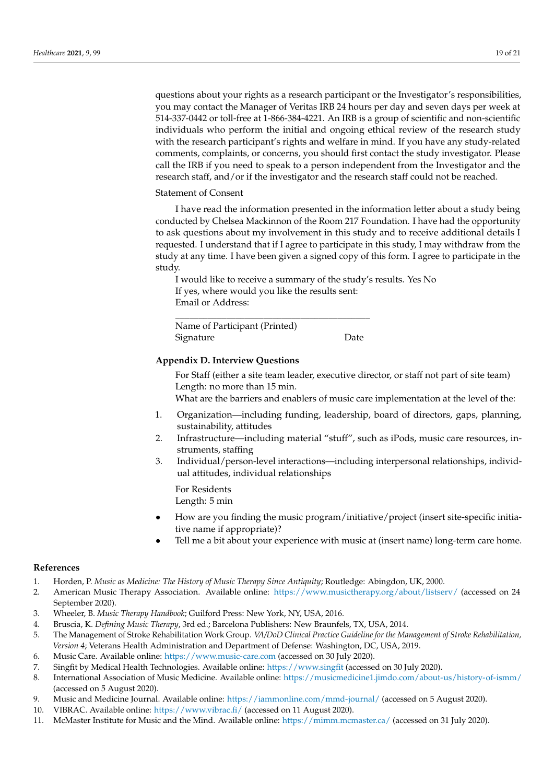questions about your rights as a research participant or the Investigator's responsibilities, you may contact the Manager of Veritas IRB 24 hours per day and seven days per week at 514-337-0442 or toll-free at 1-866-384-4221. An IRB is a group of scientific and non-scientific individuals who perform the initial and ongoing ethical review of the research study with the research participant's rights and welfare in mind. If you have any study-related comments, complaints, or concerns, you should first contact the study investigator. Please call the IRB if you need to speak to a person independent from the Investigator and the research staff, and/or if the investigator and the research staff could not be reached.

#### Statement of Consent

I have read the information presented in the information letter about a study being conducted by Chelsea Mackinnon of the Room 217 Foundation. I have had the opportunity to ask questions about my involvement in this study and to receive additional details I requested. I understand that if I agree to participate in this study, I may withdraw from the study at any time. I have been given a signed copy of this form. I agree to participate in the study.

I would like to receive a summary of the study's results. Yes No If yes, where would you like the results sent: Email or Address:

\_\_\_\_\_\_\_\_\_\_\_\_\_\_\_\_\_\_\_\_\_\_\_\_\_\_\_\_\_\_\_\_\_\_\_\_\_\_\_\_\_\_ Name of Participant (Printed) Signature Date

## <span id="page-18-10"></span>**Appendix D. Interview Questions**

For Staff (either a site team leader, executive director, or staff not part of site team) Length: no more than 15 min.

What are the barriers and enablers of music care implementation at the level of the:

- 1. Organization—including funding, leadership, board of directors, gaps, planning, sustainability, attitudes
- 2. Infrastructure—including material "stuff", such as iPods, music care resources, instruments, staffing
- 3. Individual/person-level interactions—including interpersonal relationships, individual attitudes, individual relationships

For Residents Length: 5 min

- How are you finding the music program/initiative/project (insert site-specific initiative name if appropriate)?
- Tell me a bit about your experience with music at (insert name) long-term care home.

#### **References**

- <span id="page-18-0"></span>1. Horden, P. *Music as Medicine: The History of Music Therapy Since Antiquity*; Routledge: Abingdon, UK, 2000.
- <span id="page-18-1"></span>2. American Music Therapy Association. Available online: <https://www.musictherapy.org/about/listserv/> (accessed on 24 September 2020).
- 3. Wheeler, B. *Music Therapy Handbook*; Guilford Press: New York, NY, USA, 2016.
- <span id="page-18-2"></span>4. Bruscia, K. *Defining Music Therapy*, 3rd ed.; Barcelona Publishers: New Braunfels, TX, USA, 2014.
- <span id="page-18-3"></span>5. The Management of Stroke Rehabilitation Work Group. *VA/DoD Clinical Practice Guideline for the Management of Stroke Rehabilitation, Version 4*; Veterans Health Administration and Department of Defense: Washington, DC, USA, 2019.
- <span id="page-18-4"></span>6. Music Care. Available online: <https://www.music-care.com> (accessed on 30 July 2020).
- <span id="page-18-5"></span>7. Singfit by Medical Health Technologies. Available online: <https://www.singfit> (accessed on 30 July 2020).
- <span id="page-18-6"></span>8. International Association of Music Medicine. Available online: <https://musicmedicine1.jimdo.com/about-us/history-of-ismm/> (accessed on 5 August 2020).
- <span id="page-18-7"></span>9. Music and Medicine Journal. Available online: <https://iammonline.com/mmd-journal/> (accessed on 5 August 2020).
- <span id="page-18-8"></span>10. VIBRAC. Available online: <https://www.vibrac.fi/> (accessed on 11 August 2020).
- <span id="page-18-9"></span>11. McMaster Institute for Music and the Mind. Available online: <https://mimm.mcmaster.ca/> (accessed on 31 July 2020).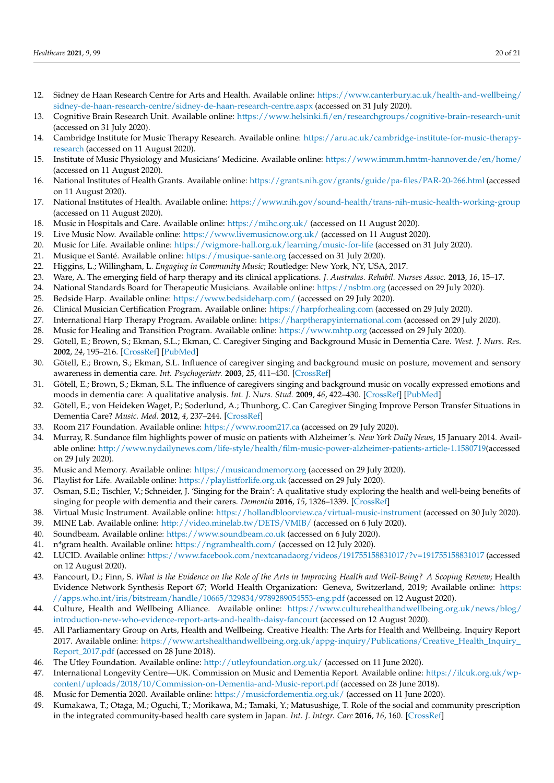- 12. Sidney de Haan Research Centre for Arts and Health. Available online: [https://www.canterbury.ac.uk/health-and-wellbeing/](https://www.canterbury.ac.uk/health-and-wellbeing/sidney-de-haan-research-centre/sidney-de-haan-research-centre.aspx) [sidney-de-haan-research-centre/sidney-de-haan-research-centre.aspx](https://www.canterbury.ac.uk/health-and-wellbeing/sidney-de-haan-research-centre/sidney-de-haan-research-centre.aspx) (accessed on 31 July 2020).
- 13. Cognitive Brain Research Unit. Available online: <https://www.helsinki.fi/en/researchgroups/cognitive-brain-research-unit> (accessed on 31 July 2020).
- 14. Cambridge Institute for Music Therapy Research. Available online: [https://aru.ac.uk/cambridge-institute-for-music-therapy](https://aru.ac.uk/cambridge-institute-for-music-therapy-research)[research](https://aru.ac.uk/cambridge-institute-for-music-therapy-research) (accessed on 11 August 2020).
- <span id="page-19-0"></span>15. Institute of Music Physiology and Musicians' Medicine. Available online: <https://www.immm.hmtm-hannover.de/en/home/> (accessed on 11 August 2020).
- <span id="page-19-1"></span>16. National Institutes of Health Grants. Available online: <https://grants.nih.gov/grants/guide/pa-files/PAR-20-266.html> (accessed on 11 August 2020).
- <span id="page-19-2"></span>17. National Institutes of Health. Available online: <https://www.nih.gov/sound-health/trans-nih-music-health-working-group> (accessed on 11 August 2020).
- <span id="page-19-3"></span>18. Music in Hospitals and Care. Available online: <https://mihc.org.uk/> (accessed on 11 August 2020).
- <span id="page-19-4"></span>19. Live Music Now. Available online: <https://www.livemusicnow.org.uk/> (accessed on 11 August 2020).
- <span id="page-19-5"></span>20. Music for Life. Available online: <https://wigmore-hall.org.uk/learning/music-for-life> (accessed on 31 July 2020).
- <span id="page-19-6"></span>21. Musique et Santé. Available online: <https://musique-sante.org> (accessed on 31 July 2020).
- <span id="page-19-7"></span>22. Higgins, L.; Willingham, L. *Engaging in Community Music*; Routledge: New York, NY, USA, 2017.
- <span id="page-19-8"></span>23. Ware, A. The emerging field of harp therapy and its clinical applications. *J. Australas. Rehabil. Nurses Assoc.* **2013**, *16*, 15–17.
- <span id="page-19-9"></span>24. National Standards Board for Therapeutic Musicians. Available online: <https://nsbtm.org> (accessed on 29 July 2020).
- <span id="page-19-10"></span>25. Bedside Harp. Available online: <https://www.bedsideharp.com/> (accessed on 29 July 2020).
- <span id="page-19-11"></span>26. Clinical Musician Certification Program. Available online: <https://harpforhealing.com> (accessed on 29 July 2020).
- <span id="page-19-12"></span>27. International Harp Therapy Program. Available online: <https://harptherapyinternational.com> (accessed on 29 July 2020).
- <span id="page-19-13"></span>28. Music for Healing and Transition Program. Available online: <https://www.mhtp.org> (accessed on 29 July 2020).
- <span id="page-19-14"></span>29. Götell, E.; Brown, S.; Ekman, S.L.; Ekman, C. Caregiver Singing and Background Music in Dementia Care. *West. J. Nurs. Res.* **2002**, *24*, 195–216. [\[CrossRef\]](http://doi.org/10.1177/019394590202400208) [\[PubMed\]](http://www.ncbi.nlm.nih.gov/pubmed/11858349)
- 30. Götell, E.; Brown, S.; Ekman, S.L. Influence of caregiver singing and background music on posture, movement and sensory awareness in dementia care. *Int. Psychogeriatr.* **2003**, *25*, 411–430. [\[CrossRef\]](http://doi.org/10.1017/S1041610203009657)
- 31. Götell, E.; Brown, S.; Ekman, S.L. The influence of caregivers singing and background music on vocally expressed emotions and moods in dementia care: A qualitative analysis. *Int. J. Nurs. Stud.* **2009**, *46*, 422–430. [\[CrossRef\]](http://doi.org/10.1016/j.ijnurstu.2007.11.001) [\[PubMed\]](http://www.ncbi.nlm.nih.gov/pubmed/18241869)
- <span id="page-19-15"></span>32. Götell, E.; von Heideken Waget, P.; Soderlund, A.; Thunborg, C. Can Caregiver Singing Improve Person Transfer Situations in Dementia Care? *Music. Med.* **2012**, *4*, 237–244. [\[CrossRef\]](http://doi.org/10.1177/1943862112457947)
- <span id="page-19-16"></span>33. Room 217 Foundation. Available online: <https://www.room217.ca> (accessed on 29 July 2020).
- <span id="page-19-17"></span>34. Murray, R. Sundance film highlights power of music on patients with Alzheimer's. *New York Daily News*, 15 January 2014. Available online: [http://www.nydailynews.com/life-style/health/film-music-power-alzheimer-patients-article-1.1580719\(](http://www.nydailynews.com/life-style/health/film-music-power-alzheimer-patients-article-1.1580719)accessed on 29 July 2020).
- <span id="page-19-18"></span>35. Music and Memory. Available online: <https://musicandmemory.org> (accessed on 29 July 2020).
- <span id="page-19-19"></span>36. Playlist for Life. Available online: <https://playlistforlife.org.uk> (accessed on 29 July 2020).
- <span id="page-19-20"></span>37. Osman, S.E.; Tischler, V.; Schneider, J. 'Singing for the Brain': A qualitative study exploring the health and well-being benefits of singing for people with dementia and their carers. *Dementia* **2016**, *15*, 1326–1339. [\[CrossRef\]](http://doi.org/10.1177/1471301214556291)
- <span id="page-19-21"></span>38. Virtual Music Instrument. Available online: <https://hollandbloorview.ca/virtual-music-instrument> (accessed on 30 July 2020).
- <span id="page-19-22"></span>39. MINE Lab. Available online: <http://video.minelab.tw/DETS/VMIB/> (accessed on 6 July 2020).
- <span id="page-19-23"></span>40. Soundbeam. Available online: <https://www.soundbeam.co.uk> (accessed on 6 July 2020).
- <span id="page-19-24"></span>41. n\*gram health. Available online: <https://ngramhealth.com/> (accessed on 12 July 2020).
- <span id="page-19-25"></span>42. LUCID. Available online: <https://www.facebook.com/nextcanadaorg/videos/191755158831017/?v=191755158831017> (accessed on 12 August 2020).
- <span id="page-19-26"></span>43. Fancourt, D.; Finn, S. *What is the Evidence on the Role of the Arts in Improving Health and Well-Being? A Scoping Review*; Health Evidence Network Synthesis Report 67; World Health Organization: Geneva, Switzerland, 2019; Available online: [https:](https://apps.who.int/iris/bitstream/handle/10665/329834/9789289054553-eng.pdf) [//apps.who.int/iris/bitstream/handle/10665/329834/9789289054553-eng.pdf](https://apps.who.int/iris/bitstream/handle/10665/329834/9789289054553-eng.pdf) (accessed on 12 August 2020).
- <span id="page-19-27"></span>44. Culture, Health and Wellbeing Alliance. Available online: [https://www.culturehealthandwellbeing.org.uk/news/blog/](https://www.culturehealthandwellbeing.org.uk/news/blog/introduction-new-who-evidence-report-arts-and-health-daisy-fancourt) [introduction-new-who-evidence-report-arts-and-health-daisy-fancourt](https://www.culturehealthandwellbeing.org.uk/news/blog/introduction-new-who-evidence-report-arts-and-health-daisy-fancourt) (accessed on 12 August 2020).
- <span id="page-19-28"></span>45. All Parliamentary Group on Arts, Health and Wellbeing. Creative Health: The Arts for Health and Wellbeing. Inquiry Report 2017. Available online: [https://www.artshealthandwellbeing.org.uk/appg-inquiry/Publications/Creative\\_Health\\_Inquiry\\_](https://www.artshealthandwellbeing.org.uk/appg-inquiry/Publications/Creative_Health_Inquiry_Report_2017.pdf) [Report\\_2017.pdf](https://www.artshealthandwellbeing.org.uk/appg-inquiry/Publications/Creative_Health_Inquiry_Report_2017.pdf) (accessed on 28 June 2018).
- <span id="page-19-29"></span>46. The Utley Foundation. Available online: <http://utleyfoundation.org.uk/> (accessed on 11 June 2020).
- <span id="page-19-30"></span>47. International Longevity Centre—UK. Commission on Music and Dementia Report. Available online: [https://ilcuk.org.uk/wp](https://ilcuk.org.uk/wp-content/uploads/2018/10/Commission-on-Dementia-and-Music-report.pdf)[content/uploads/2018/10/Commission-on-Dementia-and-Music-report.pdf](https://ilcuk.org.uk/wp-content/uploads/2018/10/Commission-on-Dementia-and-Music-report.pdf) (accessed on 28 June 2018).
- <span id="page-19-31"></span>48. Music for Dementia 2020. Available online: <https://musicfordementia.org.uk/> (accessed on 11 June 2020).
- <span id="page-19-32"></span>49. Kumakawa, T.; Otaga, M.; Oguchi, T.; Morikawa, M.; Tamaki, Y.; Matusushige, T. Role of the social and community prescription in the integrated community-based health care system in Japan. *Int. J. Integr. Care* **2016**, *16*, 160. [\[CrossRef\]](http://doi.org/10.5334/ijic.2708)